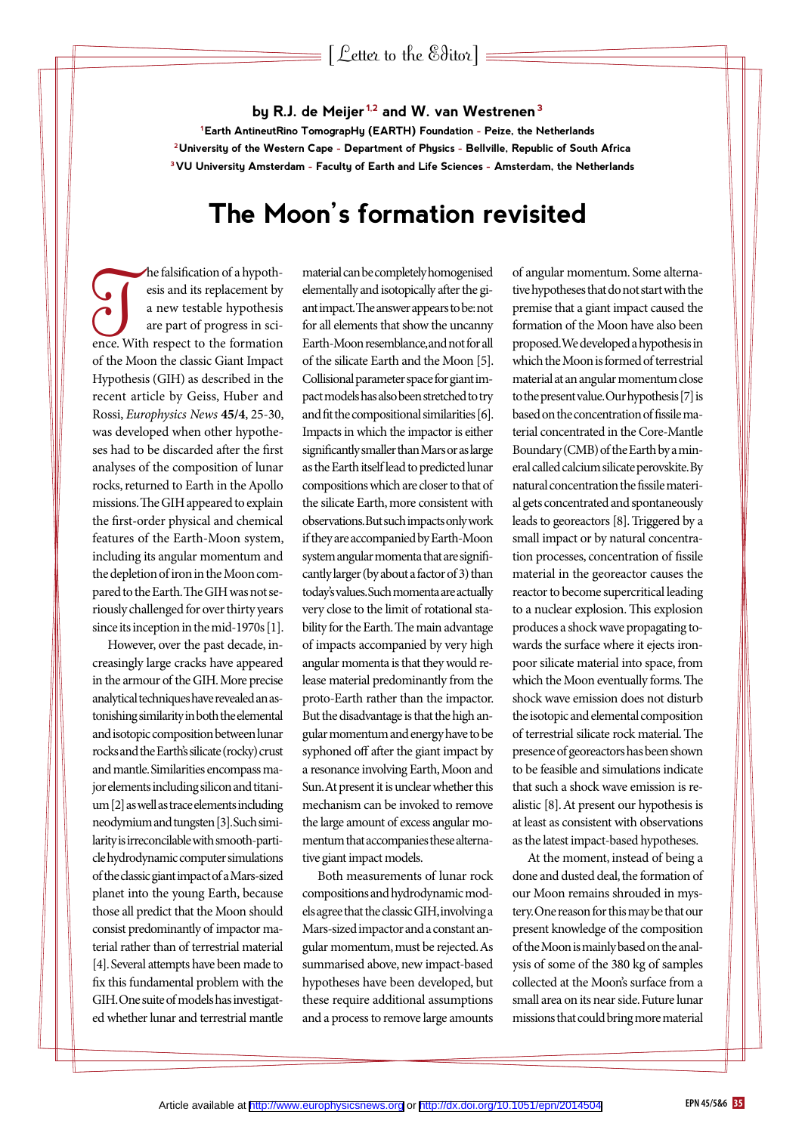#### **by R.J. de Meijer 1,2 and W. van Westrenen3**

**1Earth AntineutRino TomograpHy (EARTH) Foundation - Peize, the Netherlands 2University of the Western Cape - Department of Physics - Bellville, Republic of South Africa 3VU University Amsterdam - Faculty of Earth and Life Sciences - Amsterdam, the Netherlands**

### **The Moon's formation revisited**

The falsification of a hypothesis<br>
a new testable hypothesis<br>
are part of progress in sci-<br>
ence. With respect to the formation esis and its replacement by a new testable hypothesis are part of progress in sciof the Moon the classic Giant Impact Hypothesis (GIH) as described in the recent article by Geiss, Huber and Rossi, *Europhysics News* **45/4**, 25-30, was developed when other hypotheses had to be discarded after the first analyses of the composition of lunar rocks, returned to Earth in the Apollo missions. The GIH appeared to explain the first-order physical and chemical features of the Earth-Moon system, including its angular momentum and the depletion of iron in the Moon compared to the Earth. The GIH was not seriously challenged for over thirty years since its inception in the mid-1970s [1].

However, over the past decade, increasingly large cracks have appeared in the armour of the GIH. More precise analytical techniques have revealed an astonishing similarity in both the elemental and isotopic composition between lunar rocks and the Earth's silicate (rocky) crust and mantle. Similarities encompass major elements including silicon and titanium [2] as well as trace elements including neodymium and tungsten [3]. Such similarity is irreconcilable with smooth-particle hydrodynamic computer simulations of the classic giant impact of a Mars-sized planet into the young Earth, because those all predict that the Moon should consist predominantly of impactor material rather than of terrestrial material [4]. Several attempts have been made to fix this fundamental problem with the GIH. One suite of models has investigated whether lunar and terrestrial mantle

material can be completely homogenised elementally and isotopically after the giant impact. The answer appears to be: not for all elements that show the uncanny Earth-Moon resemblance, and not for all of the silicate Earth and the Moon [5]. Collisional parameter space for giant impact models has also been stretched to try and fit the compositional similarities [6]. Impacts in which the impactor is either significantly smaller than Mars or as large as the Earth itself lead to predicted lunar compositions which are closer to that of the silicate Earth, more consistent with observations. But such impacts only work if they are accompanied by Earth-Moon system angular momenta that are significantly larger (by about a factor of 3) than today's values. Such momenta are actually very close to the limit of rotational stability for the Earth. The main advantage of impacts accompanied by very high angular momenta is that they would release material predominantly from the proto-Earth rather than the impactor. But the disadvantage is that the high angular momentum and energy have to be syphoned off after the giant impact by a resonance involving Earth, Moon and Sun. At present it is unclear whether this mechanism can be invoked to remove the large amount of excess angular momentum that accompanies these alternative giant impact models.

Both measurements of lunar rock compositions and hydrodynamic models agree that the classic GIH, involving a Mars-sized impactor and a constant angular momentum, must be rejected. As summarised above, new impact-based hypotheses have been developed, but these require additional assumptions and a process to remove large amounts

of angular momentum. Some alternative hypotheses that do not start with the premise that a giant impact caused the formation of the Moon have also been proposed. We developed a hypothesis in which the Moon is formed of terrestrial material at an angular momentum close to the present value. Our hypothesis [7] is based on the concentration of fissile material concentrated in the Core-Mantle Boundary (CMB) of the Earth by a mineral called calcium silicate perovskite. By natural concentration the fissile material gets concentrated and spontaneously leads to georeactors [8]. Triggered by a small impact or by natural concentration processes, concentration of fissile material in the georeactor causes the reactor to become supercritical leading to a nuclear explosion. This explosion produces a shock wave propagating towards the surface where it ejects ironpoor silicate material into space, from which the Moon eventually forms. The shock wave emission does not disturb the isotopic and elemental composition of terrestrial silicate rock material. The presence of georeactors has been shown to be feasible and simulations indicate that such a shock wave emission is realistic [8]. At present our hypothesis is at least as consistent with observations as the latest impact-based hypotheses.

At the moment, instead of being a done and dusted deal, the formation of our Moon remains shrouded in mystery. One reason for this may be that our present knowledge of the composition of the Moon is mainly based on the analysis of some of the 380 kg of samples collected at the Moon's surface from a small area on its near side. Future lunar missions that could bring more material